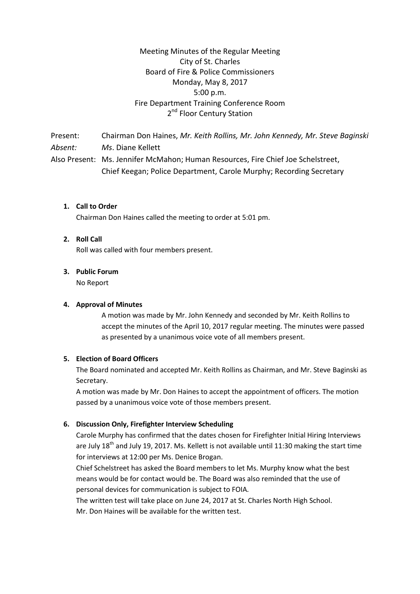# Meeting Minutes of the Regular Meeting City of St. Charles Board of Fire & Police Commissioners Monday, May 8, 2017 5:00 p.m. Fire Department Training Conference Room 2<sup>nd</sup> Floor Century Station

Present: Chairman Don Haines, *Mr. Keith Rollins, Mr. John Kennedy, Mr. Steve Baginski Absent: Ms*. Diane Kellett Also Present: Ms. Jennifer McMahon; Human Resources, Fire Chief Joe Schelstreet, Chief Keegan; Police Department, Carole Murphy; Recording Secretary

### **1. Call to Order**

Chairman Don Haines called the meeting to order at 5:01 pm.

#### **2. Roll Call**

Roll was called with four members present.

#### **3. Public Forum**

No Report

#### **4. Approval of Minutes**

A motion was made by Mr. John Kennedy and seconded by Mr. Keith Rollins to accept the minutes of the April 10, 2017 regular meeting. The minutes were passed as presented by a unanimous voice vote of all members present.

#### **5. Election of Board Officers**

The Board nominated and accepted Mr. Keith Rollins as Chairman, and Mr. Steve Baginski as Secretary.

A motion was made by Mr. Don Haines to accept the appointment of officers. The motion passed by a unanimous voice vote of those members present.

#### **6. Discussion Only, Firefighter Interview Scheduling**

Carole Murphy has confirmed that the dates chosen for Firefighter Initial Hiring Interviews are July 18<sup>th</sup> and July 19, 2017. Ms. Kellett is not available until 11:30 making the start time for interviews at 12:00 per Ms. Denice Brogan.

Chief Schelstreet has asked the Board members to let Ms. Murphy know what the best means would be for contact would be. The Board was also reminded that the use of personal devices for communication is subject to FOIA.

The written test will take place on June 24, 2017 at St. Charles North High School.

Mr. Don Haines will be available for the written test.